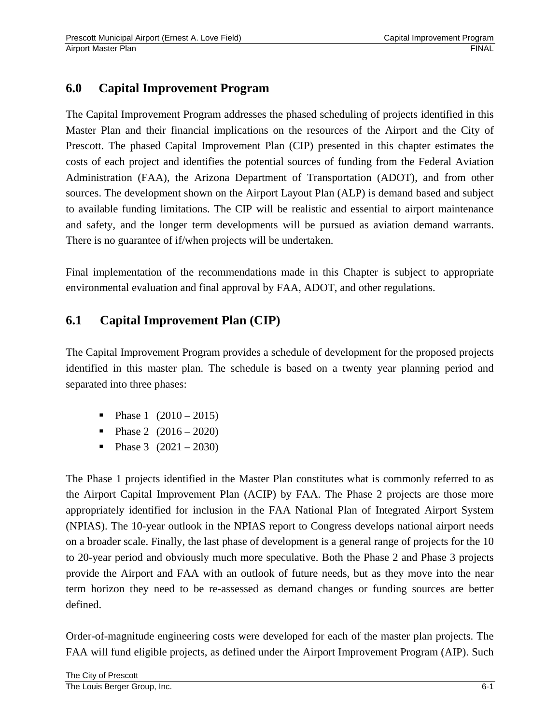# **6.0 Capital Improvement Program**

The Capital Improvement Program addresses the phased scheduling of projects identified in this Master Plan and their financial implications on the resources of the Airport and the City of Prescott. The phased Capital Improvement Plan (CIP) presented in this chapter estimates the costs of each project and identifies the potential sources of funding from the Federal Aviation Administration (FAA), the Arizona Department of Transportation (ADOT), and from other sources. The development shown on the Airport Layout Plan (ALP) is demand based and subject to available funding limitations. The CIP will be realistic and essential to airport maintenance and safety, and the longer term developments will be pursued as aviation demand warrants. There is no guarantee of if/when projects will be undertaken.

Final implementation of the recommendations made in this Chapter is subject to appropriate environmental evaluation and final approval by FAA, ADOT, and other regulations.

# **6.1 Capital Improvement Plan (CIP)**

The Capital Improvement Program provides a schedule of development for the proposed projects identified in this master plan. The schedule is based on a twenty year planning period and separated into three phases:

- Phase 1 (2010 2015)
- Phase 2  $(2016 2020)$
- Phase 3  $(2021 2030)$

The Phase 1 projects identified in the Master Plan constitutes what is commonly referred to as the Airport Capital Improvement Plan (ACIP) by FAA. The Phase 2 projects are those more appropriately identified for inclusion in the FAA National Plan of Integrated Airport System (NPIAS). The 10-year outlook in the NPIAS report to Congress develops national airport needs on a broader scale. Finally, the last phase of development is a general range of projects for the 10 to 20-year period and obviously much more speculative. Both the Phase 2 and Phase 3 projects provide the Airport and FAA with an outlook of future needs, but as they move into the near term horizon they need to be re-assessed as demand changes or funding sources are better defined.

Order-of-magnitude engineering costs were developed for each of the master plan projects. The FAA will fund eligible projects, as defined under the Airport Improvement Program (AIP). Such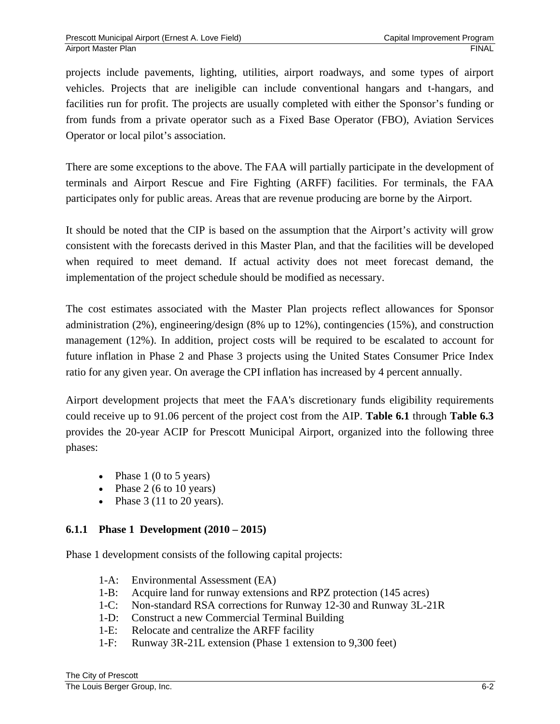projects include pavements, lighting, utilities, airport roadways, and some types of airport vehicles. Projects that are ineligible can include conventional hangars and t-hangars, and facilities run for profit. The projects are usually completed with either the Sponsor's funding or from funds from a private operator such as a Fixed Base Operator (FBO), Aviation Services Operator or local pilot's association.

There are some exceptions to the above. The FAA will partially participate in the development of terminals and Airport Rescue and Fire Fighting (ARFF) facilities. For terminals, the FAA participates only for public areas. Areas that are revenue producing are borne by the Airport.

It should be noted that the CIP is based on the assumption that the Airport's activity will grow consistent with the forecasts derived in this Master Plan, and that the facilities will be developed when required to meet demand. If actual activity does not meet forecast demand, the implementation of the project schedule should be modified as necessary.

The cost estimates associated with the Master Plan projects reflect allowances for Sponsor administration (2%), engineering/design (8% up to 12%), contingencies (15%), and construction management (12%). In addition, project costs will be required to be escalated to account for future inflation in Phase 2 and Phase 3 projects using the United States Consumer Price Index ratio for any given year. On average the CPI inflation has increased by 4 percent annually.

Airport development projects that meet the FAA's discretionary funds eligibility requirements could receive up to 91.06 percent of the project cost from the AIP. **Table 6.1** through **Table 6.3** provides the 20-year ACIP for Prescott Municipal Airport, organized into the following three phases:

- Phase  $1(0 \text{ to } 5 \text{ years})$
- Phase  $2(6 \text{ to } 10 \text{ years})$
- Phase  $3(11 \text{ to } 20 \text{ years})$ .

### **6.1.1 Phase 1 Development (2010 – 2015)**

Phase 1 development consists of the following capital projects:

- 1-A: Environmental Assessment (EA)
- 1-B: Acquire land for runway extensions and RPZ protection (145 acres)
- 1-C: Non-standard RSA corrections for Runway 12-30 and Runway 3L-21R
- 1-D: Construct a new Commercial Terminal Building
- 1-E: Relocate and centralize the ARFF facility
- 1-F: Runway 3R-21L extension (Phase 1 extension to 9,300 feet)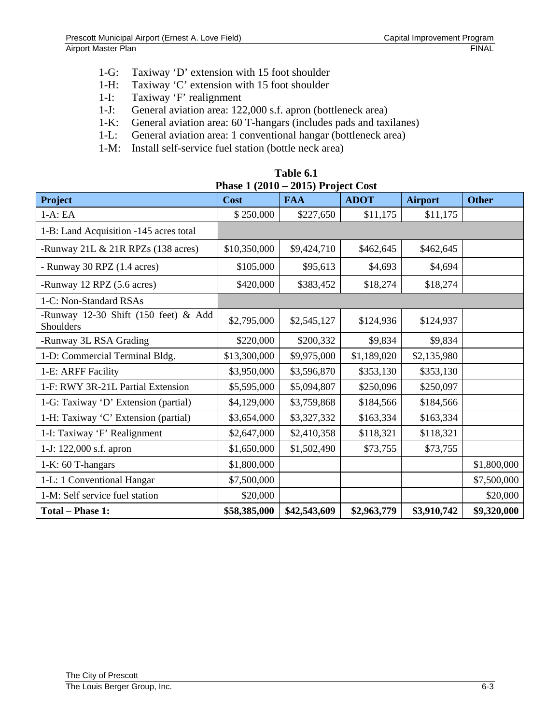- 1-G: Taxiway 'D' extension with 15 foot shoulder
- 1-H: Taxiway 'C' extension with 15 foot shoulder
- 1-I: Taxiway 'F' realignment
- 1-J: General aviation area: 122,000 s.f. apron (bottleneck area)<br>1-K: General aviation area: 60 T-hangars (includes pads and tax
- General aviation area: 60 T-hangars (includes pads and taxilanes)
- 1-L: General aviation area: 1 conventional hangar (bottleneck area)
- 1-M: Install self-service fuel station (bottle neck area)

| Table 6.1                           |  |  |  |  |  |  |  |  |
|-------------------------------------|--|--|--|--|--|--|--|--|
| Phase $1(2010 - 2015)$ Project Cost |  |  |  |  |  |  |  |  |

| <b>Project</b>                                    | Cost         | <b>FAA</b>               | <b>ADOT</b> | <b>Airport</b> | <b>Other</b> |
|---------------------------------------------------|--------------|--------------------------|-------------|----------------|--------------|
| $1-A:EA$                                          | \$250,000    | \$227,650                | \$11,175    | \$11,175       |              |
| 1-B: Land Acquisition -145 acres total            |              |                          |             |                |              |
| -Runway 21L & 21R RPZs (138 acres)                | \$10,350,000 | \$9,424,710<br>\$462,645 |             | \$462,645      |              |
| - Runway 30 RPZ (1.4 acres)                       | \$105,000    | \$95,613<br>\$4,693      |             | \$4,694        |              |
| -Runway 12 RPZ (5.6 acres)                        | \$420,000    | \$18,274                 |             |                |              |
| 1-C: Non-Standard RSAs                            |              |                          |             |                |              |
| -Runway 12-30 Shift (150 feet) & Add<br>Shoulders | \$2,795,000  | \$2,545,127              | \$124,936   | \$124,937      |              |
| -Runway 3L RSA Grading                            | \$220,000    | \$200,332                | \$9,834     | \$9,834        |              |
| 1-D: Commercial Terminal Bldg.                    | \$13,300,000 | \$9,975,000              | \$1,189,020 | \$2,135,980    |              |
| 1-E: ARFF Facility                                | \$3,950,000  | \$3,596,870              | \$353,130   | \$353,130      |              |
| 1-F: RWY 3R-21L Partial Extension                 | \$5,595,000  | \$5,094,807              | \$250,096   | \$250,097      |              |
| 1-G: Taxiway 'D' Extension (partial)              | \$4,129,000  | \$3,759,868              | \$184,566   | \$184,566      |              |
| 1-H: Taxiway 'C' Extension (partial)              | \$3,654,000  | \$3,327,332              | \$163,334   | \$163,334      |              |
| 1-I: Taxiway 'F' Realignment                      | \$2,647,000  | \$2,410,358              | \$118,321   | \$118,321      |              |
| 1-J: 122,000 s.f. apron                           | \$1,650,000  | \$1,502,490              | \$73,755    | \$73,755       |              |
| 1-K: 60 T-hangars                                 | \$1,800,000  |                          |             |                | \$1,800,000  |
| 1-L: 1 Conventional Hangar                        | \$7,500,000  |                          |             |                | \$7,500,000  |
| 1-M: Self service fuel station                    | \$20,000     |                          |             |                | \$20,000     |
| <b>Total - Phase 1:</b>                           | \$58,385,000 | \$42,543,609             | \$2,963,779 | \$3,910,742    | \$9,320,000  |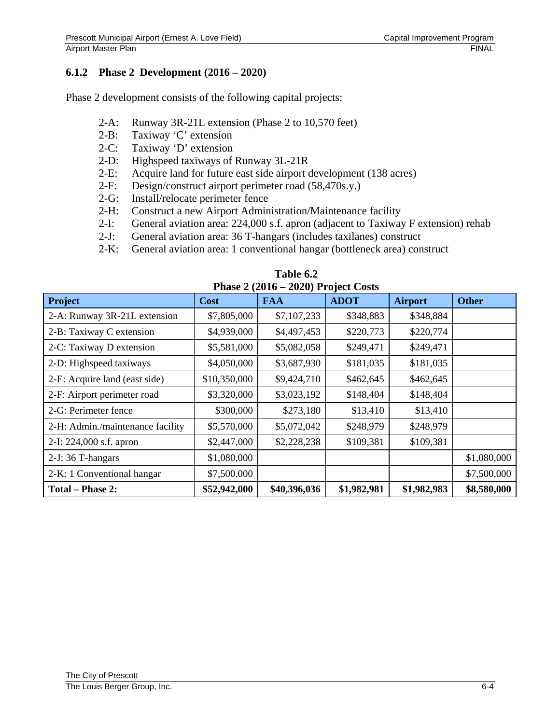#### **6.1.2 Phase 2 Development (2016 – 2020)**

Phase 2 development consists of the following capital projects:

- 2-A: Runway 3R-21L extension (Phase 2 to 10,570 feet)
- 2-B: Taxiway 'C' extension
- 2-C: Taxiway 'D' extension
- 2-D: Highspeed taxiways of Runway 3L-21R
- 2-E: Acquire land for future east side airport development (138 acres)
- 2-F: Design/construct airport perimeter road (58,470s.y.)
- 2-G: Install/relocate perimeter fence
- 2-H: Construct a new Airport Administration/Maintenance facility
- 2-I: General aviation area: 224,000 s.f. apron (adjacent to Taxiway F extension) rehab
- 2-J: General aviation area: 36 T-hangars (includes taxilanes) construct
- 2-K: General aviation area: 1 conventional hangar (bottleneck area) construct

| Phase $\angle$ ( $\angle$ 010 – $\angle$ 0 $\angle$ 0) Project Costs |                            |              |             |                |              |  |  |  |  |
|----------------------------------------------------------------------|----------------------------|--------------|-------------|----------------|--------------|--|--|--|--|
| Project                                                              | <b>Cost</b>                | <b>FAA</b>   | <b>ADOT</b> | <b>Airport</b> | <b>Other</b> |  |  |  |  |
| 2-A: Runway 3R-21L extension                                         | \$7,805,000                | \$7,107,233  | \$348,883   | \$348,884      |              |  |  |  |  |
| 2-B: Taxiway C extension                                             | \$4,939,000<br>\$4,497,453 |              | \$220,773   | \$220,774      |              |  |  |  |  |
| 2-C: Taxiway D extension                                             | \$5,581,000                | \$5,082,058  | \$249,471   | \$249,471      |              |  |  |  |  |
| 2-D: Highspeed taxiways                                              | \$4,050,000                | \$3,687,930  | \$181,035   | \$181,035      |              |  |  |  |  |
| 2-E: Acquire land (east side)                                        | \$10,350,000               | \$9,424,710  | \$462,645   | \$462,645      |              |  |  |  |  |
| 2-F: Airport perimeter road                                          | \$3,320,000                | \$3,023,192  | \$148,404   | \$148,404      |              |  |  |  |  |
| 2-G: Perimeter fence                                                 | \$300,000                  | \$273,180    | \$13,410    | \$13,410       |              |  |  |  |  |
| 2-H: Admin./maintenance facility                                     | \$5,570,000                | \$5,072,042  | \$248,979   | \$248,979      |              |  |  |  |  |
| 2-I: 224,000 s.f. apron                                              | \$2,447,000                | \$2,228,238  | \$109,381   | \$109,381      |              |  |  |  |  |
| 2-J: 36 T-hangars                                                    | \$1,080,000                |              |             |                | \$1,080,000  |  |  |  |  |
| 2-K: 1 Conventional hangar                                           | \$7,500,000                |              |             |                | \$7,500,000  |  |  |  |  |
| <b>Total - Phase 2:</b>                                              | \$52,942,000               | \$40,396,036 | \$1,982,981 | \$1,982,983    | \$8,580,000  |  |  |  |  |

**Table 6.2 Phase 2 (2016 – 2020) Project Costs**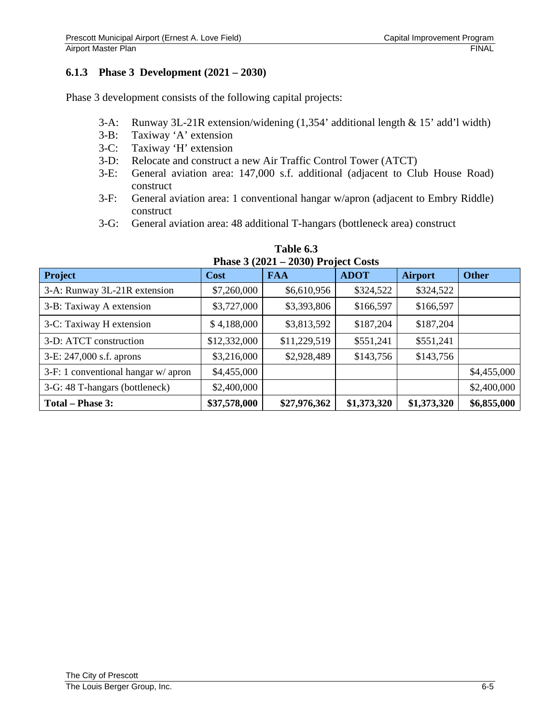### **6.1.3 Phase 3 Development (2021 – 2030)**

Phase 3 development consists of the following capital projects:

- 3-A: Runway 3L-21R extension/widening (1,354' additional length & 15' add'l width)
- 3-B: Taxiway 'A' extension
- 3-C: Taxiway 'H' extension
- 3-D: Relocate and construct a new Air Traffic Control Tower (ATCT)
- 3-E: General aviation area: 147,000 s.f. additional (adjacent to Club House Road) construct
- 3-F: General aviation area: 1 conventional hangar w/apron (adjacent to Embry Riddle) construct
- 3-G: General aviation area: 48 additional T-hangars (bottleneck area) construct

| I Hase $3(2021 - 2030)$ I Toject Costs |              |              |             |                |              |  |  |  |  |
|----------------------------------------|--------------|--------------|-------------|----------------|--------------|--|--|--|--|
| <b>Project</b>                         | <b>Cost</b>  | <b>FAA</b>   | <b>ADOT</b> | <b>Airport</b> | <b>Other</b> |  |  |  |  |
| 3-A: Runway 3L-21R extension           | \$7,260,000  | \$6,610,956  | \$324,522   | \$324,522      |              |  |  |  |  |
| 3-B: Taxiway A extension               | \$3,727,000  | \$3,393,806  | \$166,597   | \$166,597      |              |  |  |  |  |
| 3-C: Taxiway H extension               | \$4,188,000  | \$3,813,592  | \$187,204   | \$187,204      |              |  |  |  |  |
| 3-D: ATCT construction                 | \$12,332,000 | \$11,229,519 | \$551,241   | \$551,241      |              |  |  |  |  |
| 3-E: 247,000 s.f. aprons               | \$3,216,000  | \$2,928,489  | \$143,756   | \$143,756      |              |  |  |  |  |
| $3-F: 1$ conventional hangar w/ apron  | \$4,455,000  |              |             |                | \$4,455,000  |  |  |  |  |
| 3-G: 48 T-hangars (bottleneck)         | \$2,400,000  |              |             |                | \$2,400,000  |  |  |  |  |
| Total – Phase 3:                       | \$37,578,000 | \$27,976,362 | \$1,373,320 | \$1,373,320    | \$6,855,000  |  |  |  |  |

**Table 6.3 Phase 3 (2021 – 2030) Project Costs**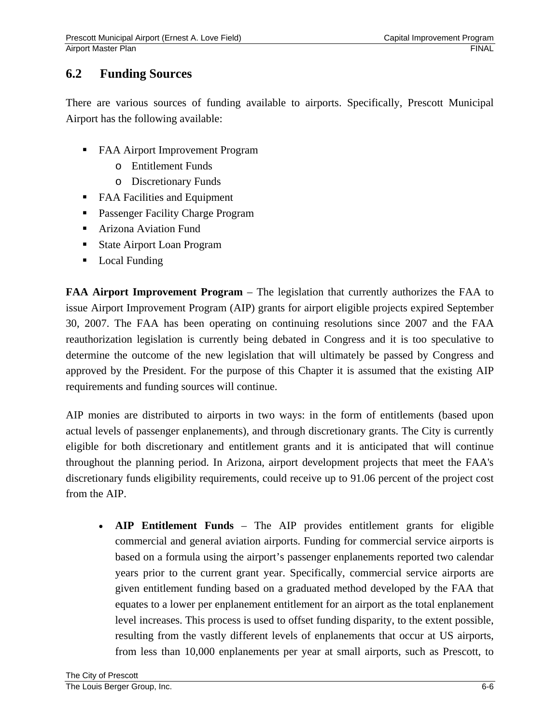## **6.2 Funding Sources**

There are various sources of funding available to airports. Specifically, Prescott Municipal Airport has the following available:

- FAA Airport Improvement Program
	- o Entitlement Funds
	- o Discretionary Funds
- FAA Facilities and Equipment
- **Passenger Facility Charge Program**
- Arizona Aviation Fund
- State Airport Loan Program
- Local Funding

**FAA Airport Improvement Program** – The legislation that currently authorizes the FAA to issue Airport Improvement Program (AIP) grants for airport eligible projects expired September 30, 2007. The FAA has been operating on continuing resolutions since 2007 and the FAA reauthorization legislation is currently being debated in Congress and it is too speculative to determine the outcome of the new legislation that will ultimately be passed by Congress and approved by the President. For the purpose of this Chapter it is assumed that the existing AIP requirements and funding sources will continue.

AIP monies are distributed to airports in two ways: in the form of entitlements (based upon actual levels of passenger enplanements), and through discretionary grants. The City is currently eligible for both discretionary and entitlement grants and it is anticipated that will continue throughout the planning period. In Arizona, airport development projects that meet the FAA's discretionary funds eligibility requirements, could receive up to 91.06 percent of the project cost from the AIP.

• **AIP Entitlement Funds** – The AIP provides entitlement grants for eligible commercial and general aviation airports. Funding for commercial service airports is based on a formula using the airport's passenger enplanements reported two calendar years prior to the current grant year. Specifically, commercial service airports are given entitlement funding based on a graduated method developed by the FAA that equates to a lower per enplanement entitlement for an airport as the total enplanement level increases. This process is used to offset funding disparity, to the extent possible, resulting from the vastly different levels of enplanements that occur at US airports, from less than 10,000 enplanements per year at small airports, such as Prescott, to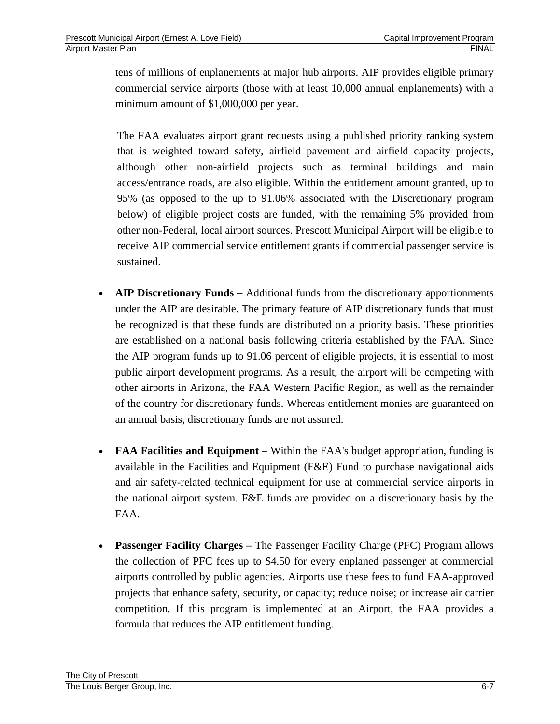tens of millions of enplanements at major hub airports. AIP provides eligible primary commercial service airports (those with at least 10,000 annual enplanements) with a minimum amount of \$1,000,000 per year.

The FAA evaluates airport grant requests using a published priority ranking system that is weighted toward safety, airfield pavement and airfield capacity projects, although other non-airfield projects such as terminal buildings and main access/entrance roads, are also eligible. Within the entitlement amount granted, up to 95% (as opposed to the up to 91.06% associated with the Discretionary program below) of eligible project costs are funded, with the remaining 5% provided from other non-Federal, local airport sources. Prescott Municipal Airport will be eligible to receive AIP commercial service entitlement grants if commercial passenger service is sustained.

- **AIP Discretionary Funds** Additional funds from the discretionary apportionments under the AIP are desirable. The primary feature of AIP discretionary funds that must be recognized is that these funds are distributed on a priority basis. These priorities are established on a national basis following criteria established by the FAA. Since the AIP program funds up to 91.06 percent of eligible projects, it is essential to most public airport development programs. As a result, the airport will be competing with other airports in Arizona, the FAA Western Pacific Region, as well as the remainder of the country for discretionary funds. Whereas entitlement monies are guaranteed on an annual basis, discretionary funds are not assured.
- **FAA Facilities and Equipment** Within the FAA's budget appropriation, funding is available in the Facilities and Equipment (F&E) Fund to purchase navigational aids and air safety-related technical equipment for use at commercial service airports in the national airport system. F&E funds are provided on a discretionary basis by the FAA.
- **Passenger Facility Charges** The Passenger Facility Charge (PFC) Program allows the collection of PFC fees up to \$4.50 for every enplaned passenger at commercial airports controlled by public agencies. Airports use these fees to fund FAA-approved projects that enhance safety, security, or capacity; reduce noise; or increase air carrier competition. If this program is implemented at an Airport, the FAA provides a formula that reduces the AIP entitlement funding.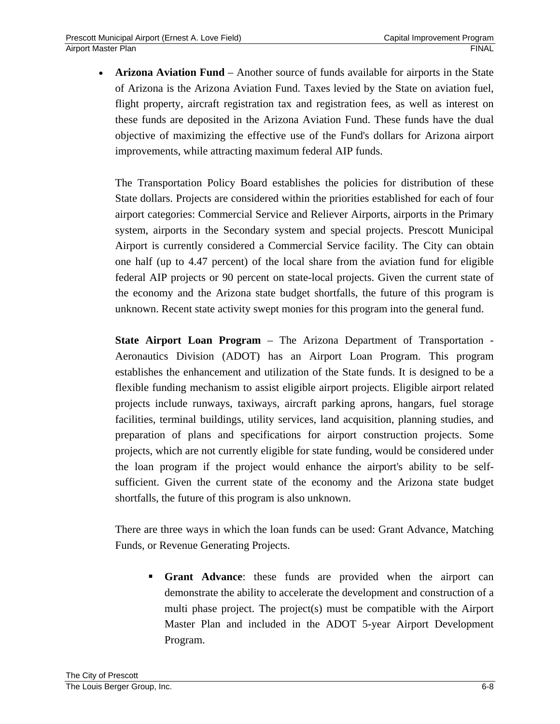• **Arizona Aviation Fund** – Another source of funds available for airports in the State of Arizona is the Arizona Aviation Fund. Taxes levied by the State on aviation fuel, flight property, aircraft registration tax and registration fees, as well as interest on these funds are deposited in the Arizona Aviation Fund. These funds have the dual objective of maximizing the effective use of the Fund's dollars for Arizona airport improvements, while attracting maximum federal AIP funds.

The Transportation Policy Board establishes the policies for distribution of these State dollars. Projects are considered within the priorities established for each of four airport categories: Commercial Service and Reliever Airports, airports in the Primary system, airports in the Secondary system and special projects. Prescott Municipal Airport is currently considered a Commercial Service facility. The City can obtain one half (up to 4.47 percent) of the local share from the aviation fund for eligible federal AIP projects or 90 percent on state-local projects. Given the current state of the economy and the Arizona state budget shortfalls, the future of this program is unknown. Recent state activity swept monies for this program into the general fund.

**State Airport Loan Program** – The Arizona Department of Transportation - Aeronautics Division (ADOT) has an Airport Loan Program. This program establishes the enhancement and utilization of the State funds. It is designed to be a flexible funding mechanism to assist eligible airport projects. Eligible airport related projects include runways, taxiways, aircraft parking aprons, hangars, fuel storage facilities, terminal buildings, utility services, land acquisition, planning studies, and preparation of plans and specifications for airport construction projects. Some projects, which are not currently eligible for state funding, would be considered under the loan program if the project would enhance the airport's ability to be selfsufficient. Given the current state of the economy and the Arizona state budget shortfalls, the future of this program is also unknown.

There are three ways in which the loan funds can be used: Grant Advance, Matching Funds, or Revenue Generating Projects.

 **Grant Advance**: these funds are provided when the airport can demonstrate the ability to accelerate the development and construction of a multi phase project. The project(s) must be compatible with the Airport Master Plan and included in the ADOT 5-year Airport Development Program.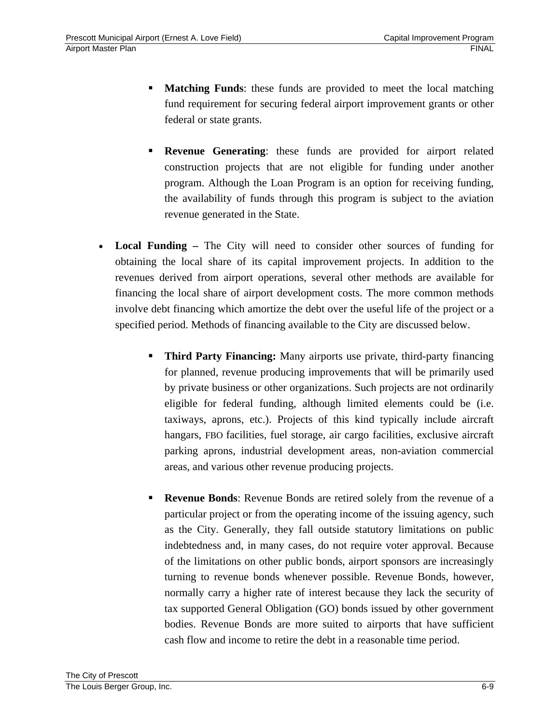- **Matching Funds**: these funds are provided to meet the local matching fund requirement for securing federal airport improvement grants or other federal or state grants.
- **Revenue Generating**: these funds are provided for airport related construction projects that are not eligible for funding under another program. Although the Loan Program is an option for receiving funding, the availability of funds through this program is subject to the aviation revenue generated in the State.
- **Local Funding** The City will need to consider other sources of funding for obtaining the local share of its capital improvement projects. In addition to the revenues derived from airport operations, several other methods are available for financing the local share of airport development costs. The more common methods involve debt financing which amortize the debt over the useful life of the project or a specified period. Methods of financing available to the City are discussed below.
	- **Third Party Financing:** Many airports use private, third-party financing for planned, revenue producing improvements that will be primarily used by private business or other organizations. Such projects are not ordinarily eligible for federal funding, although limited elements could be (i.e. taxiways, aprons, etc.). Projects of this kind typically include aircraft hangars, FBO facilities, fuel storage, air cargo facilities, exclusive aircraft parking aprons, industrial development areas, non-aviation commercial areas, and various other revenue producing projects.
	- **Revenue Bonds**: Revenue Bonds are retired solely from the revenue of a particular project or from the operating income of the issuing agency, such as the City. Generally, they fall outside statutory limitations on public indebtedness and, in many cases, do not require voter approval. Because of the limitations on other public bonds, airport sponsors are increasingly turning to revenue bonds whenever possible. Revenue Bonds, however, normally carry a higher rate of interest because they lack the security of tax supported General Obligation (GO) bonds issued by other government bodies. Revenue Bonds are more suited to airports that have sufficient cash flow and income to retire the debt in a reasonable time period.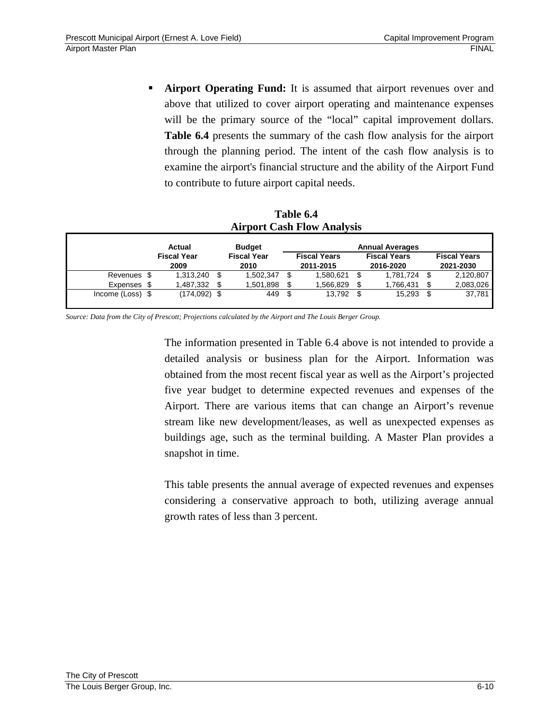**Airport Operating Fund:** It is assumed that airport revenues over and above that utilized to cover airport operating and maintenance expenses will be the primary source of the "local" capital improvement dollars. **Table 6.4** presents the summary of the cash flow analysis for the airport through the planning period. The intent of the cash flow analysis is to examine the airport's financial structure and the ability of the Airport Fund to contribute to future airport capital needs.

#### **Table 6.4 Airport Cash Flow Analysis**

|                  | Actual                     |     | <b>Budget</b>              | <b>Annual Averages</b> |                                  |  |                                  |  |                                  |
|------------------|----------------------------|-----|----------------------------|------------------------|----------------------------------|--|----------------------------------|--|----------------------------------|
|                  | <b>Fiscal Year</b><br>2009 |     | <b>Fiscal Year</b><br>2010 |                        | <b>Fiscal Years</b><br>2011-2015 |  | <b>Fiscal Years</b><br>2016-2020 |  | <b>Fiscal Years</b><br>2021-2030 |
| Revenues \$      | 1,313,240                  | -\$ | 1.502.347                  | \$.                    | 1,580,621                        |  | 1,781,724                        |  | 2,120,807                        |
| Expenses \$      | 1,487,332                  |     | 1,501,898                  |                        | .566,829                         |  | 1,766,431                        |  | 2,083,026                        |
| Income (Loss) \$ | $(174, 092)$ \$            |     | 449                        | \$.                    | 13.792                           |  | 15,293                           |  | 37,781                           |

*Source: Data from the City of Prescott; Projections calculated by the Airport and The Louis Berger Group.* 

The information presented in Table 6.4 above is not intended to provide a detailed analysis or business plan for the Airport. Information was obtained from the most recent fiscal year as well as the Airport's projected five year budget to determine expected revenues and expenses of the Airport. There are various items that can change an Airport's revenue stream like new development/leases, as well as unexpected expenses as buildings age, such as the terminal building. A Master Plan provides a snapshot in time.

This table presents the annual average of expected revenues and expenses considering a conservative approach to both, utilizing average annual growth rates of less than 3 percent.